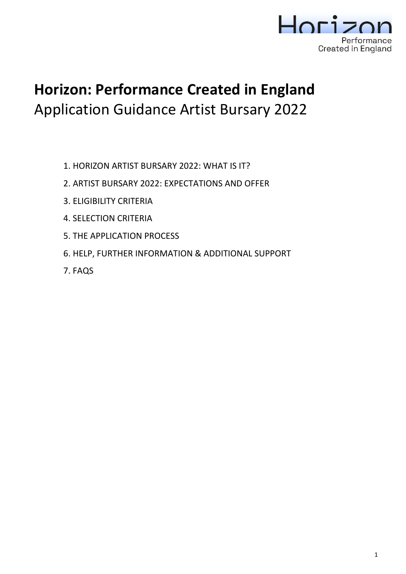

# **Horizon: Performance Created in England** Application Guidance Artist Bursary 2022

- 1. HORIZON ARTIST BURSARY 2022: WHAT IS IT?
- 2. ARTIST BURSARY 2022: EXPECTATIONS AND OFFER
- 3. ELIGIBILITY CRITERIA
- 4. SELECTION CRITERIA
- 5. THE APPLICATION PROCESS
- 6. HELP, FURTHER INFORMATION & ADDITIONAL SUPPORT
- 7. FAQS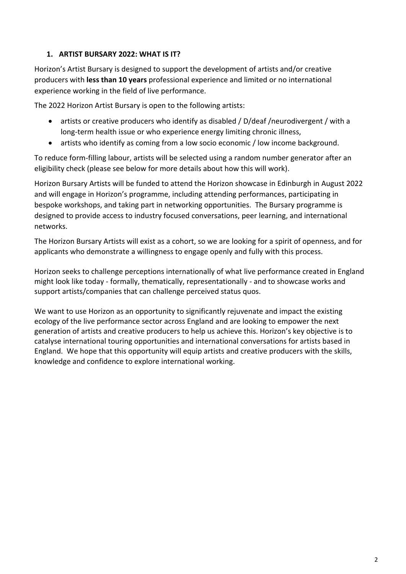# **1. ARTIST BURSARY 2022: WHAT IS IT?**

Horizon's Artist Bursary is designed to support the development of artists and/or creative producers with **less than 10 years** professional experience and limited or no international experience working in the field of live performance.

The 2022 Horizon Artist Bursary is open to the following artists:

- artists or creative producers who identify as disabled / D/deaf /neurodivergent / with a long-term health issue or who experience energy limiting chronic illness,
- artists who identify as coming from a low socio economic / low income background.

To reduce form-filling labour, artists will be selected using a random number generator after an eligibility check (please see below for more details about how this will work).

Horizon Bursary Artists will be funded to attend the Horizon showcase in Edinburgh in August 2022 and will engage in Horizon's programme, including attending performances, participating in bespoke workshops, and taking part in networking opportunities. The Bursary programme is designed to provide access to industry focused conversations, peer learning, and international networks.

The Horizon Bursary Artists will exist as a cohort, so we are looking for a spirit of openness, and for applicants who demonstrate a willingness to engage openly and fully with this process.

Horizon seeks to challenge perceptions internationally of what live performance created in England might look like today - formally, thematically, representationally - and to showcase works and support artists/companies that can challenge perceived status quos.

We want to use Horizon as an opportunity to significantly rejuvenate and impact the existing ecology of the live performance sector across England and are looking to empower the next generation of artists and creative producers to help us achieve this. Horizon's key objective is to catalyse international touring opportunities and international conversations for artists based in England. We hope that this opportunity will equip artists and creative producers with the skills, knowledge and confidence to explore international working.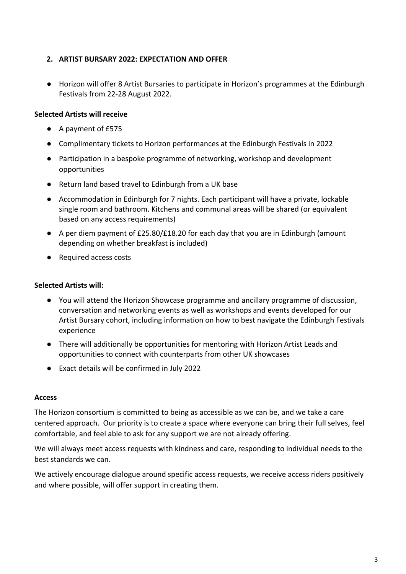### **2. ARTIST BURSARY 2022: EXPECTATION AND OFFER**

● Horizon will offer 8 Artist Bursaries to participate in Horizon's programmes at the Edinburgh Festivals from 22-28 August 2022.

## **Selected Artists will receive**

- A payment of £575
- Complimentary tickets to Horizon performances at the Edinburgh Festivals in 2022
- Participation in a bespoke programme of networking, workshop and development opportunities
- Return land based travel to Edinburgh from a UK base
- Accommodation in Edinburgh for 7 nights. Each participant will have a private, lockable single room and bathroom. Kitchens and communal areas will be shared (or equivalent based on any access requirements)
- A per diem payment of £25.80/£18.20 for each day that you are in Edinburgh (amount depending on whether breakfast is included)
- Required access costs

#### **Selected Artists will:**

- You will attend the Horizon Showcase programme and ancillary programme of discussion, conversation and networking events as well as workshops and events developed for our Artist Bursary cohort, including information on how to best navigate the Edinburgh Festivals experience
- There will additionally be opportunities for mentoring with Horizon Artist Leads and opportunities to connect with counterparts from other UK showcases
- Exact details will be confirmed in July 2022

#### **Access**

The Horizon consortium is committed to being as accessible as we can be, and we take a care centered approach. Our priority is to create a space where everyone can bring their full selves, feel comfortable, and feel able to ask for any support we are not already offering.

We will always meet access requests with kindness and care, responding to individual needs to the best standards we can.

We actively encourage dialogue around specific access requests, we receive access riders positively and where possible, will offer support in creating them.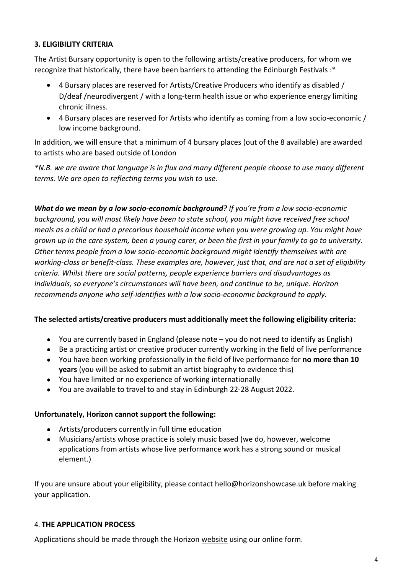### **3. ELIGIBILITY CRITERIA**

The Artist Bursary opportunity is open to the following artists/creative producers, for whom we recognize that historically, there have been barriers to attending the Edinburgh Festivals :\*

- 4 Bursary places are reserved for Artists/Creative Producers who identify as disabled / D/deaf /neurodivergent / with a long-term health issue or who experience energy limiting chronic illness.
- 4 Bursary places are reserved for Artists who identify as coming from a low socio-economic / low income background.

In addition, we will ensure that a minimum of 4 bursary places (out of the 8 available) are awarded to artists who are based outside of London

*\*N.B. we are aware that language is in flux and many different people choose to use many different terms. We are open to reflecting terms you wish to use.*

*What do we mean by a low socio-economic background? If you're from a low socio-economic background, you will most likely have been to state school, you might have received free school meals as a child or had a precarious household income when you were growing up. You might have grown up in the care system, been a young carer, or been the first in your family to go to university. Other terms people from a low socio-economic background might identify themselves with are working-class or benefit-class. These examples are, however, just that, and are not a set of eligibility criteria. Whilst there are social patterns, people experience barriers and disadvantages as individuals, so everyone's circumstances will have been, and continue to be, unique. Horizon recommends anyone who self-identifies with a low socio-economic background to apply.*

#### **The selected artists/creative producers must additionally meet the following eligibility criteria:**

- You are currently based in England (please note you do not need to identify as English)
- Be a practicing artist or creative producer currently working in the field of live performance
- You have been working professionally in the field of live performance for **no more than 10 years** (you will be asked to submit an artist biography to evidence this)
- You have limited or no experience of working internationally
- You are available to travel to and stay in Edinburgh 22-28 August 2022.

#### **Unfortunately, Horizon cannot support the following:**

- Artists/producers currently in full time education
- Musicians/artists whose practice is solely music based (we do, however, welcome applications from artists whose live performance work has a strong sound or musical element.)

If you are unsure about your eligibility, please contact [hello@horizonshowcase.uk](mailto:hello@horizonshowcase.uk) before making your application.

#### 4. **THE APPLICATION PROCESS**

Applications should be made through the Horizon [website](http://www.horizonshowcase.uk/) using our online form.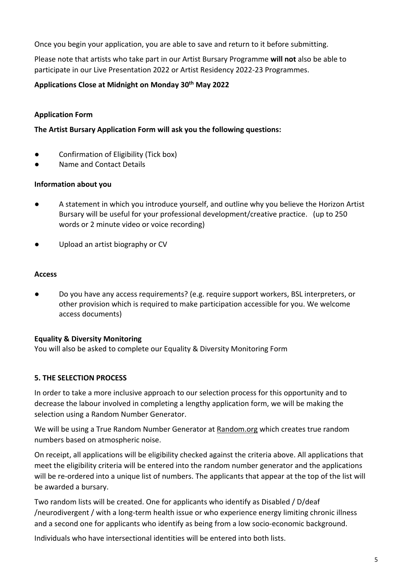Once you begin your application, you are able to save and return to it before submitting.

Please note that artists who take part in our Artist Bursary Programme **will not** also be able to participate in our Live Presentation 2022 or Artist Residency 2022-23 Programmes.

### **Applications Close at Midnight on Monday 30th May 2022**

### **Application Form**

#### **The Artist Bursary Application Form will ask you the following questions:**

- Confirmation of Eligibility (Tick box)
- Name and Contact Details

#### **Information about you**

- A statement in which you introduce yourself, and outline why you believe the Horizon Artist Bursary will be useful for your professional development/creative practice. (up to 250 words or 2 minute video or voice recording)
- Upload an artist biography or CV

#### **Access**

Do you have any access requirements? (e.g. require support workers, BSL interpreters, or other provision which is required to make participation accessible for you. We welcome access documents)

#### **Equality & Diversity Monitoring**

You will also be asked to complete our Equality & Diversity Monitoring Form

#### **5. THE SELECTION PROCESS**

In order to take a more inclusive approach to our selection process for this opportunity and to decrease the labour involved in completing a lengthy application form, we will be making the selection using a Random Number Generator.

We will be using a True Random Number Generator at [Random.org](https://www.random.org/) which creates true random numbers based on atmospheric noise.

On receipt, all applications will be eligibility checked against the criteria above. All applications that meet the eligibility criteria will be entered into the random number generator and the applications will be re-ordered into a unique list of numbers. The applicants that appear at the top of the list will be awarded a bursary.

Two random lists will be created. One for applicants who identify as Disabled / D/deaf /neurodivergent / with a long-term health issue or who experience energy limiting chronic illness and a second one for applicants who identify as being from a low socio-economic background.

Individuals who have intersectional identities will be entered into both lists.